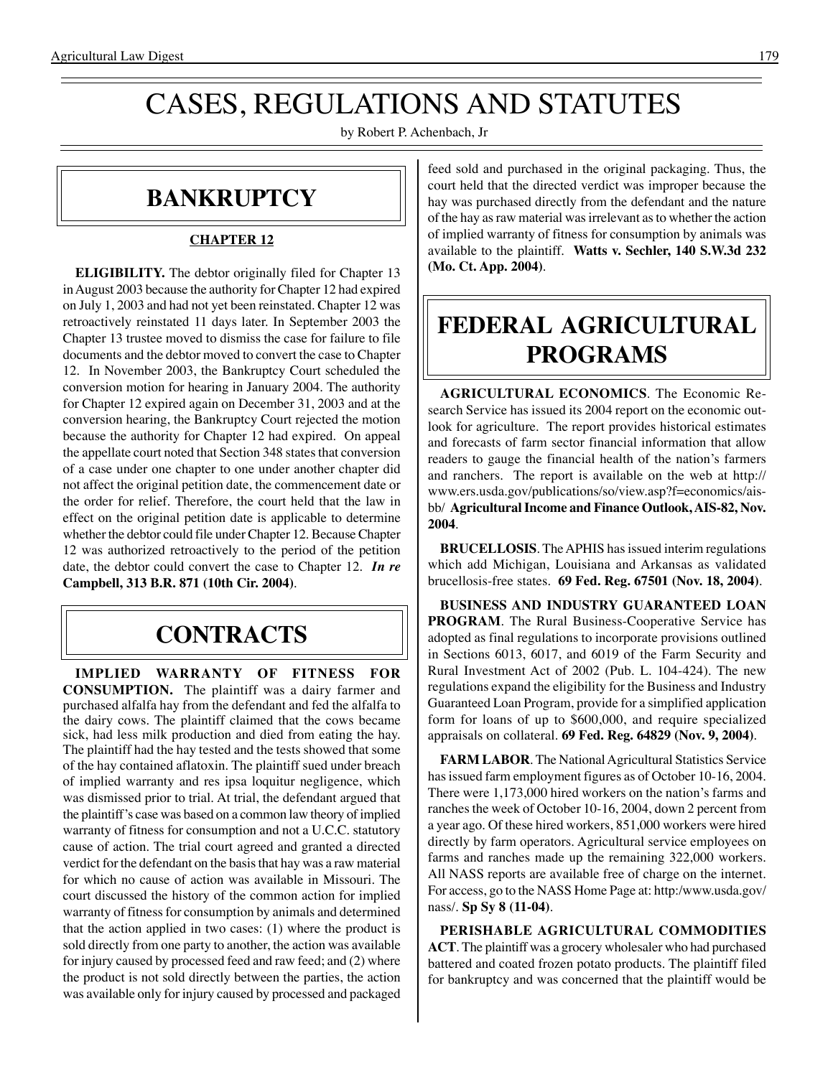# CASES, REGULATIONS AND STATUTES

by Robert P. Achenbach, Jr

### **BANKRUPTCY**

#### **CHAPTER 12**

**ELIGIBILITY.** The debtor originally filed for Chapter 13 in August 2003 because the authority for Chapter 12 had expired on July 1, 2003 and had not yet been reinstated. Chapter 12 was retroactively reinstated 11 days later. In September 2003 the Chapter 13 trustee moved to dismiss the case for failure to file documents and the debtor moved to convert the case to Chapter 12. In November 2003, the Bankruptcy Court scheduled the conversion motion for hearing in January 2004. The authority for Chapter 12 expired again on December 31, 2003 and at the conversion hearing, the Bankruptcy Court rejected the motion because the authority for Chapter 12 had expired. On appeal the appellate court noted that Section 348 states that conversion of a case under one chapter to one under another chapter did not affect the original petition date, the commencement date or the order for relief. Therefore, the court held that the law in effect on the original petition date is applicable to determine whether the debtor could file under Chapter 12. Because Chapter 12 was authorized retroactively to the period of the petition date, the debtor could convert the case to Chapter 12. *In re*  **Campbell, 313 B.R. 871 (10th Cir. 2004)**.

### **CONTRACTS**

**IMPLIED WARRANTY OF FITNESS FOR CONSUMPTION.** The plaintiff was a dairy farmer and purchased alfalfa hay from the defendant and fed the alfalfa to the dairy cows. The plaintiff claimed that the cows became sick, had less milk production and died from eating the hay. The plaintiff had the hay tested and the tests showed that some of the hay contained aflatoxin. The plaintiff sued under breach of implied warranty and res ipsa loquitur negligence, which was dismissed prior to trial. At trial, the defendant argued that the plaintiff's case was based on a common law theory of implied warranty of fitness for consumption and not a U.C.C. statutory cause of action. The trial court agreed and granted a directed verdict for the defendant on the basis that hay was a raw material for which no cause of action was available in Missouri. The court discussed the history of the common action for implied warranty of fitness for consumption by animals and determined that the action applied in two cases: (1) where the product is sold directly from one party to another, the action was available for injury caused by processed feed and raw feed; and (2) where the product is not sold directly between the parties, the action was available only for injury caused by processed and packaged feed sold and purchased in the original packaging. Thus, the court held that the directed verdict was improper because the hay was purchased directly from the defendant and the nature of the hay as raw material was irrelevant as to whether the action of implied warranty of fitness for consumption by animals was available to the plaintiff. **Watts v. Sechler, 140 S.W.3d 232 (Mo. Ct. App. 2004)**.

## **FEDERAL AGRICULTURAL PROGRAMS**

**AGRICULTURAL ECONOMICS**. The Economic Research Service has issued its 2004 report on the economic outlook for agriculture. The report provides historical estimates and forecasts of farm sector financial information that allow readers to gauge the financial health of the nation's farmers and ranchers. The report is available on the web at http:// www.ers.usda.gov/publications/so/view.asp?f=economics/aisbb/ **Agricultural Income and Finance Outlook, AIS-82, Nov. 2004**.

**BRUCELLOSIS**. The APHIS has issued interim regulations which add Michigan, Louisiana and Arkansas as validated brucellosis-free states. **69 Fed. Reg. 67501 (Nov. 18, 2004)**.

**BUSINESS AND INDUSTRY GUARANTEED LOAN PROGRAM**. The Rural Business-Cooperative Service has adopted as final regulations to incorporate provisions outlined in Sections 6013, 6017, and 6019 of the Farm Security and Rural Investment Act of 2002 (Pub. L. 104-424). The new regulations expand the eligibility for the Business and Industry Guaranteed Loan Program, provide for a simplified application form for loans of up to \$600,000, and require specialized appraisals on collateral. **69 Fed. Reg. 64829 (Nov. 9, 2004)**.

**FARM LABOR**. The National Agricultural Statistics Service has issued farm employment figures as of October 10-16, 2004. There were 1,173,000 hired workers on the nation's farms and ranches the week of October 10-16, 2004, down 2 percent from a year ago. Of these hired workers, 851,000 workers were hired directly by farm operators. Agricultural service employees on farms and ranches made up the remaining 322,000 workers. All NASS reports are available free of charge on the internet. For access, go to the NASS Home Page at: http:/www.usda.gov/ nass/. **Sp Sy 8 (11-04)**.

**PERISHABLE AGRICULTURAL COMMODITIES ACT**. The plaintiff was a grocery wholesaler who had purchased battered and coated frozen potato products. The plaintiff filed for bankruptcy and was concerned that the plaintiff would be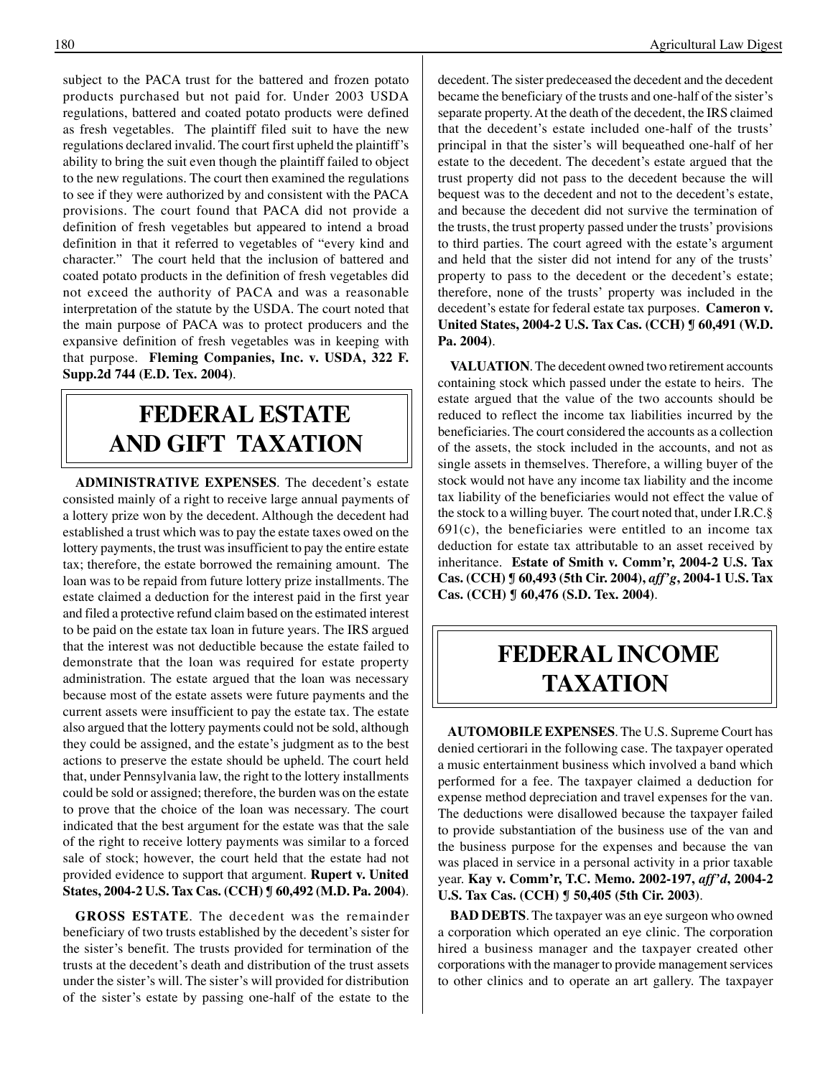subject to the PACA trust for the battered and frozen potato products purchased but not paid for. Under 2003 USDA regulations, battered and coated potato products were defined as fresh vegetables. The plaintiff filed suit to have the new regulations declared invalid. The court first upheld the plaintiff's ability to bring the suit even though the plaintiff failed to object to the new regulations. The court then examined the regulations to see if they were authorized by and consistent with the PACA provisions. The court found that PACA did not provide a definition of fresh vegetables but appeared to intend a broad definition in that it referred to vegetables of "every kind and character." The court held that the inclusion of battered and coated potato products in the definition of fresh vegetables did not exceed the authority of PACA and was a reasonable interpretation of the statute by the USDA. The court noted that the main purpose of PACA was to protect producers and the expansive definition of fresh vegetables was in keeping with that purpose. **Fleming Companies, Inc. v. USDA, 322 F. Supp.2d 744 (E.D. Tex. 2004)**.

## **FEDERAL ESTATE AND GIFT TAXATION**

**ADMINISTRATIVE EXPENSES**. The decedent's estate consisted mainly of a right to receive large annual payments of a lottery prize won by the decedent. Although the decedent had established a trust which was to pay the estate taxes owed on the lottery payments, the trust was insufficient to pay the entire estate tax; therefore, the estate borrowed the remaining amount. The loan was to be repaid from future lottery prize installments. The estate claimed a deduction for the interest paid in the first year and filed a protective refund claim based on the estimated interest to be paid on the estate tax loan in future years. The IRS argued that the interest was not deductible because the estate failed to demonstrate that the loan was required for estate property administration. The estate argued that the loan was necessary because most of the estate assets were future payments and the current assets were insufficient to pay the estate tax. The estate also argued that the lottery payments could not be sold, although they could be assigned, and the estate's judgment as to the best actions to preserve the estate should be upheld. The court held that, under Pennsylvania law, the right to the lottery installments could be sold or assigned; therefore, the burden was on the estate to prove that the choice of the loan was necessary. The court indicated that the best argument for the estate was that the sale of the right to receive lottery payments was similar to a forced sale of stock; however, the court held that the estate had not provided evidence to support that argument. **Rupert v. United States, 2004-2 U.S. Tax Cas. (CCH) ¶ 60,492 (M.D. Pa. 2004)**.

**GROSS ESTATE**. The decedent was the remainder beneficiary of two trusts established by the decedent's sister for the sister's benefit. The trusts provided for termination of the trusts at the decedent's death and distribution of the trust assets under the sister's will. The sister's will provided for distribution of the sister's estate by passing one-half of the estate to the

decedent. The sister predeceased the decedent and the decedent became the beneficiary of the trusts and one-half of the sister's separate property. At the death of the decedent, the IRS claimed that the decedent's estate included one-half of the trusts' principal in that the sister's will bequeathed one-half of her estate to the decedent. The decedent's estate argued that the trust property did not pass to the decedent because the will bequest was to the decedent and not to the decedent's estate, and because the decedent did not survive the termination of the trusts, the trust property passed under the trusts' provisions to third parties. The court agreed with the estate's argument and held that the sister did not intend for any of the trusts' property to pass to the decedent or the decedent's estate; therefore, none of the trusts' property was included in the decedent's estate for federal estate tax purposes. **Cameron v. United States, 2004-2 U.S. Tax Cas. (CCH) ¶ 60,491 (W.D. Pa. 2004)**.

**VALUATION**. The decedent owned two retirement accounts containing stock which passed under the estate to heirs. The estate argued that the value of the two accounts should be reduced to reflect the income tax liabilities incurred by the beneficiaries. The court considered the accounts as a collection of the assets, the stock included in the accounts, and not as single assets in themselves. Therefore, a willing buyer of the stock would not have any income tax liability and the income tax liability of the beneficiaries would not effect the value of the stock to a willing buyer. The court noted that, under I.R.C.§  $691(c)$ , the beneficiaries were entitled to an income tax deduction for estate tax attributable to an asset received by inheritance. **Estate of Smith v. Comm'r, 2004-2 U.S. Tax Cas. (CCH) ¶ 60,493 (5th Cir. 2004),** *aff'g***, 2004-1 U.S. Tax Cas. (CCH) ¶ 60,476 (S.D. Tex. 2004)**.

## **FEDERAL INCOME TAXATION**

**AUTOMOBILE EXPENSES**. The U.S. Supreme Court has denied certiorari in the following case. The taxpayer operated a music entertainment business which involved a band which performed for a fee. The taxpayer claimed a deduction for expense method depreciation and travel expenses for the van. The deductions were disallowed because the taxpayer failed to provide substantiation of the business use of the van and the business purpose for the expenses and because the van was placed in service in a personal activity in a prior taxable year. **Kay v. Comm'r, T.C. Memo. 2002-197,** *aff'd***, 2004-2 U.S. Tax Cas. (CCH) ¶ 50,405 (5th Cir. 2003)**.

**BAD DEBTS**. The taxpayer was an eye surgeon who owned a corporation which operated an eye clinic. The corporation hired a business manager and the taxpayer created other corporations with the manager to provide management services to other clinics and to operate an art gallery. The taxpayer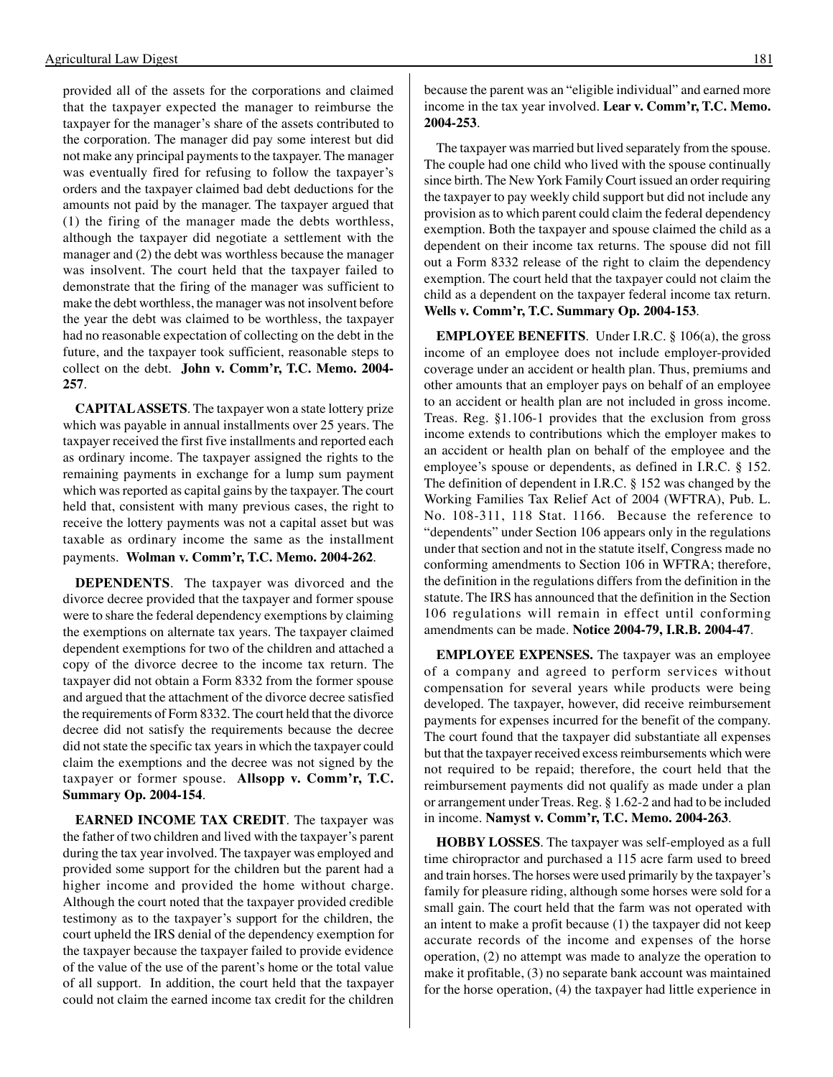provided all of the assets for the corporations and claimed that the taxpayer expected the manager to reimburse the taxpayer for the manager's share of the assets contributed to the corporation. The manager did pay some interest but did not make any principal payments to the taxpayer. The manager was eventually fired for refusing to follow the taxpayer's orders and the taxpayer claimed bad debt deductions for the amounts not paid by the manager. The taxpayer argued that (1) the firing of the manager made the debts worthless, although the taxpayer did negotiate a settlement with the manager and (2) the debt was worthless because the manager was insolvent. The court held that the taxpayer failed to demonstrate that the firing of the manager was sufficient to make the debt worthless, the manager was not insolvent before the year the debt was claimed to be worthless, the taxpayer had no reasonable expectation of collecting on the debt in the future, and the taxpayer took sufficient, reasonable steps to collect on the debt. **John v. Comm'r, T.C. Memo. 2004 257**.

**CAPITAL ASSETS**. The taxpayer won a state lottery prize which was payable in annual installments over 25 years. The taxpayer received the first five installments and reported each as ordinary income. The taxpayer assigned the rights to the remaining payments in exchange for a lump sum payment which was reported as capital gains by the taxpayer. The court held that, consistent with many previous cases, the right to receive the lottery payments was not a capital asset but was taxable as ordinary income the same as the installment payments. **Wolman v. Comm'r, T.C. Memo. 2004-262**.

**DEPENDENTS**. The taxpayer was divorced and the divorce decree provided that the taxpayer and former spouse were to share the federal dependency exemptions by claiming the exemptions on alternate tax years. The taxpayer claimed dependent exemptions for two of the children and attached a copy of the divorce decree to the income tax return. The taxpayer did not obtain a Form 8332 from the former spouse and argued that the attachment of the divorce decree satisfied the requirements of Form 8332. The court held that the divorce decree did not satisfy the requirements because the decree did not state the specific tax years in which the taxpayer could claim the exemptions and the decree was not signed by the taxpayer or former spouse. **Allsopp v. Comm'r, T.C. Summary Op. 2004-154**.

**EARNED INCOME TAX CREDIT**. The taxpayer was the father of two children and lived with the taxpayer's parent during the tax year involved. The taxpayer was employed and provided some support for the children but the parent had a higher income and provided the home without charge. Although the court noted that the taxpayer provided credible testimony as to the taxpayer's support for the children, the court upheld the IRS denial of the dependency exemption for the taxpayer because the taxpayer failed to provide evidence of the value of the use of the parent's home or the total value of all support. In addition, the court held that the taxpayer could not claim the earned income tax credit for the children

because the parent was an "eligible individual" and earned more income in the tax year involved. **Lear v. Comm'r, T.C. Memo. 2004-253**.

The taxpayer was married but lived separately from the spouse. The couple had one child who lived with the spouse continually since birth. The New York Family Court issued an order requiring the taxpayer to pay weekly child support but did not include any provision as to which parent could claim the federal dependency exemption. Both the taxpayer and spouse claimed the child as a dependent on their income tax returns. The spouse did not fill out a Form 8332 release of the right to claim the dependency exemption. The court held that the taxpayer could not claim the child as a dependent on the taxpayer federal income tax return. **Wells v. Comm'r, T.C. Summary Op. 2004-153**.

**EMPLOYEE BENEFITS**. Under I.R.C. § 106(a), the gross income of an employee does not include employer-provided coverage under an accident or health plan. Thus, premiums and other amounts that an employer pays on behalf of an employee to an accident or health plan are not included in gross income. Treas. Reg. §1.106-1 provides that the exclusion from gross income extends to contributions which the employer makes to an accident or health plan on behalf of the employee and the employee's spouse or dependents, as defined in I.R.C. § 152. The definition of dependent in I.R.C. § 152 was changed by the Working Families Tax Relief Act of 2004 (WFTRA), Pub. L. No. 108-311, 118 Stat. 1166. Because the reference to "dependents" under Section 106 appears only in the regulations under that section and not in the statute itself, Congress made no conforming amendments to Section 106 in WFTRA; therefore, the definition in the regulations differs from the definition in the statute. The IRS has announced that the definition in the Section 106 regulations will remain in effect until conforming amendments can be made. **Notice 2004-79, I.R.B. 2004-47**.

**EMPLOYEE EXPENSES.** The taxpayer was an employee of a company and agreed to perform services without compensation for several years while products were being developed. The taxpayer, however, did receive reimbursement payments for expenses incurred for the benefit of the company. The court found that the taxpayer did substantiate all expenses but that the taxpayer received excess reimbursements which were not required to be repaid; therefore, the court held that the reimbursement payments did not qualify as made under a plan or arrangement under Treas. Reg. § 1.62-2 and had to be included in income. **Namyst v. Comm'r, T.C. Memo. 2004-263**.

**HOBBY LOSSES**. The taxpayer was self-employed as a full time chiropractor and purchased a 115 acre farm used to breed and train horses. The horses were used primarily by the taxpayer's family for pleasure riding, although some horses were sold for a small gain. The court held that the farm was not operated with an intent to make a profit because (1) the taxpayer did not keep accurate records of the income and expenses of the horse operation, (2) no attempt was made to analyze the operation to make it profitable, (3) no separate bank account was maintained for the horse operation, (4) the taxpayer had little experience in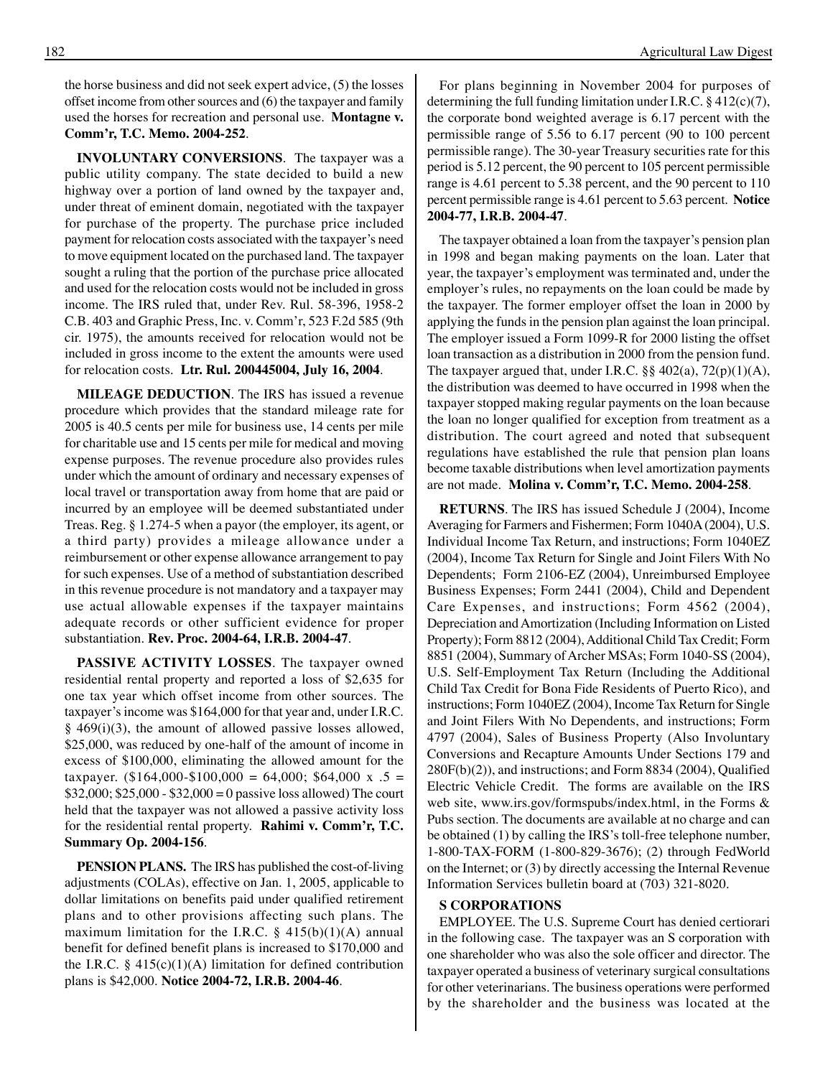the horse business and did not seek expert advice, (5) the losses offset income from other sources and (6) the taxpayer and family used the horses for recreation and personal use. **Montagne v. Comm'r, T.C. Memo. 2004-252**.

**INVOLUNTARY CONVERSIONS**. The taxpayer was a public utility company. The state decided to build a new highway over a portion of land owned by the taxpayer and, under threat of eminent domain, negotiated with the taxpayer for purchase of the property. The purchase price included payment for relocation costs associated with the taxpayer's need to move equipment located on the purchased land. The taxpayer sought a ruling that the portion of the purchase price allocated and used for the relocation costs would not be included in gross income. The IRS ruled that, under Rev. Rul. 58-396, 1958-2 C.B. 403 and Graphic Press, Inc. v. Comm'r, 523 F.2d 585 (9th cir. 1975), the amounts received for relocation would not be included in gross income to the extent the amounts were used for relocation costs. **Ltr. Rul. 200445004, July 16, 2004**.

**MILEAGE DEDUCTION**. The IRS has issued a revenue procedure which provides that the standard mileage rate for 2005 is 40.5 cents per mile for business use, 14 cents per mile for charitable use and 15 cents per mile for medical and moving expense purposes. The revenue procedure also provides rules under which the amount of ordinary and necessary expenses of local travel or transportation away from home that are paid or incurred by an employee will be deemed substantiated under Treas. Reg. § 1.274-5 when a payor (the employer, its agent, or a third party) provides a mileage allowance under a reimbursement or other expense allowance arrangement to pay for such expenses. Use of a method of substantiation described in this revenue procedure is not mandatory and a taxpayer may use actual allowable expenses if the taxpayer maintains adequate records or other sufficient evidence for proper substantiation. **Rev. Proc. 2004-64, I.R.B. 2004-47**.

**PASSIVE ACTIVITY LOSSES**. The taxpayer owned residential rental property and reported a loss of \$2,635 for one tax year which offset income from other sources. The taxpayer's income was \$164,000 for that year and, under I.R.C. § 469(i)(3), the amount of allowed passive losses allowed, \$25,000, was reduced by one-half of the amount of income in excess of \$100,000, eliminating the allowed amount for the taxpayer. (\$164,000-\$100,000 = 64,000; \$64,000 x .5 = \$32,000; \$25,000 - \$32,000 = 0 passive loss allowed) The court held that the taxpayer was not allowed a passive activity loss for the residential rental property. **Rahimi v. Comm'r, T.C. Summary Op. 2004-156**.

**PENSION PLANS.** The IRS has published the cost-of-living adjustments (COLAs), effective on Jan. 1, 2005, applicable to dollar limitations on benefits paid under qualified retirement plans and to other provisions affecting such plans. The maximum limitation for the I.R.C.  $\S$  415(b)(1)(A) annual benefit for defined benefit plans is increased to \$170,000 and the I.R.C.  $\S$  415(c)(1)(A) limitation for defined contribution plans is \$42,000. **Notice 2004-72, I.R.B. 2004-46**.

For plans beginning in November 2004 for purposes of determining the full funding limitation under I.R.C. § 412(c)(7), the corporate bond weighted average is 6.17 percent with the permissible range of 5.56 to 6.17 percent (90 to 100 percent permissible range). The 30-year Treasury securities rate for this period is 5.12 percent, the 90 percent to 105 percent permissible range is 4.61 percent to 5.38 percent, and the 90 percent to 110 percent permissible range is 4.61 percent to 5.63 percent. **Notice 2004-77, I.R.B. 2004-47**.

The taxpayer obtained a loan from the taxpayer's pension plan in 1998 and began making payments on the loan. Later that year, the taxpayer's employment was terminated and, under the employer's rules, no repayments on the loan could be made by the taxpayer. The former employer offset the loan in 2000 by applying the funds in the pension plan against the loan principal. The employer issued a Form 1099-R for 2000 listing the offset loan transaction as a distribution in 2000 from the pension fund. The taxpayer argued that, under I.R.C.  $\S § 402(a)$ ,  $72(p)(1)(A)$ , the distribution was deemed to have occurred in 1998 when the taxpayer stopped making regular payments on the loan because the loan no longer qualified for exception from treatment as a distribution. The court agreed and noted that subsequent regulations have established the rule that pension plan loans become taxable distributions when level amortization payments are not made. **Molina v. Comm'r, T.C. Memo. 2004-258**.

**RETURNS**. The IRS has issued Schedule J (2004), Income Averaging for Farmers and Fishermen; Form 1040A (2004), U.S. Individual Income Tax Return, and instructions; Form 1040EZ (2004), Income Tax Return for Single and Joint Filers With No Dependents; Form 2106-EZ (2004), Unreimbursed Employee Business Expenses; Form 2441 (2004), Child and Dependent Care Expenses, and instructions; Form 4562 (2004), Depreciation and Amortization (Including Information on Listed Property); Form 8812 (2004), Additional Child Tax Credit; Form 8851 (2004), Summary of Archer MSAs; Form 1040-SS (2004), U.S. Self-Employment Tax Return (Including the Additional Child Tax Credit for Bona Fide Residents of Puerto Rico), and instructions; Form 1040EZ (2004), Income Tax Return for Single and Joint Filers With No Dependents, and instructions; Form 4797 (2004), Sales of Business Property (Also Involuntary Conversions and Recapture Amounts Under Sections 179 and 280F(b)(2)), and instructions; and Form 8834 (2004), Qualified Electric Vehicle Credit. The forms are available on the IRS web site, www.irs.gov/formspubs/index.html, in the Forms & Pubs section. The documents are available at no charge and can be obtained (1) by calling the IRS's toll-free telephone number, 1-800-TAX-FORM (1-800-829-3676); (2) through FedWorld on the Internet; or (3) by directly accessing the Internal Revenue Information Services bulletin board at (703) 321-8020.

#### **S CORPORATIONS**

EMPLOYEE. The U.S. Supreme Court has denied certiorari in the following case. The taxpayer was an S corporation with one shareholder who was also the sole officer and director. The taxpayer operated a business of veterinary surgical consultations for other veterinarians. The business operations were performed by the shareholder and the business was located at the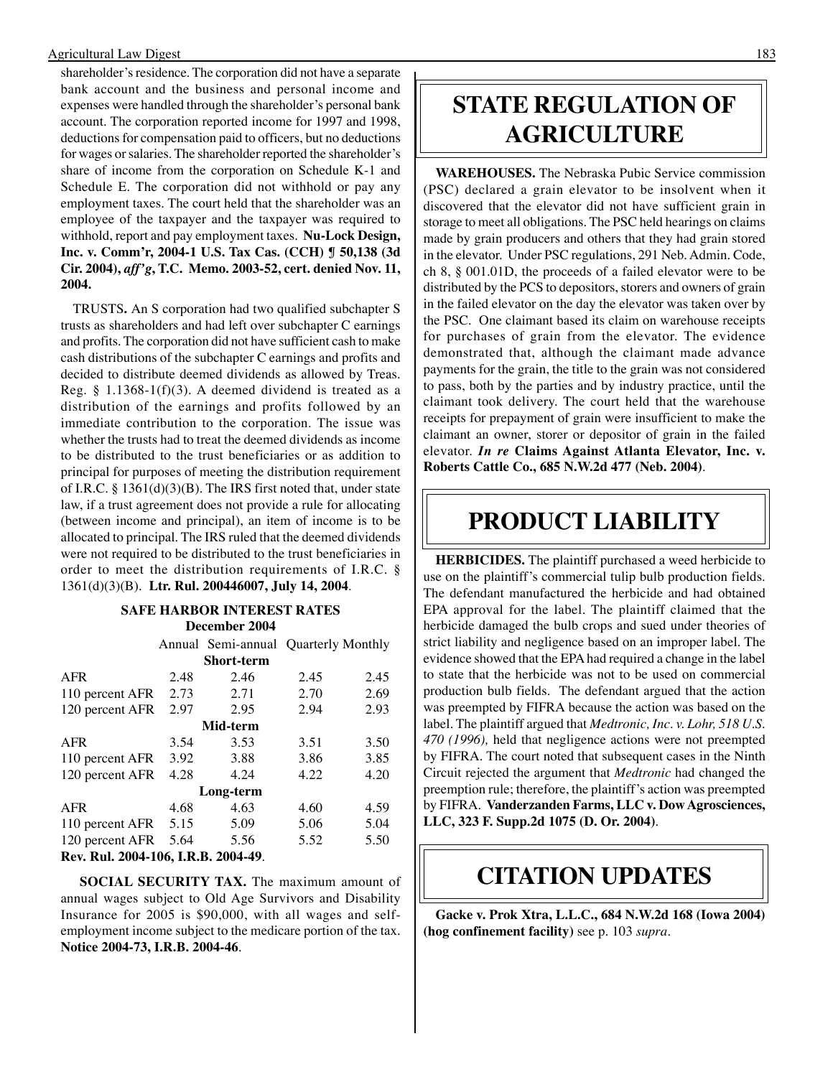#### Agricultural Law Digest 183

shareholder's residence. The corporation did not have a separate bank account and the business and personal income and expenses were handled through the shareholder's personal bank account. The corporation reported income for 1997 and 1998, deductions for compensation paid to officers, but no deductions for wages or salaries. The shareholder reported the shareholder's share of income from the corporation on Schedule K-1 and Schedule E. The corporation did not withhold or pay any employment taxes. The court held that the shareholder was an employee of the taxpayer and the taxpayer was required to withhold, report and pay employment taxes. **Nu-Lock Design, Inc. v. Comm'r, 2004-1 U.S. Tax Cas. (CCH) ¶ 50,138 (3d Cir. 2004),** *aff'g***, T.C. Memo. 2003-52, cert. denied Nov. 11, 2004.** 

TRUSTS**.** An S corporation had two qualified subchapter S trusts as shareholders and had left over subchapter C earnings and profits. The corporation did not have sufficient cash to make cash distributions of the subchapter C earnings and profits and decided to distribute deemed dividends as allowed by Treas. Reg.  $\S$  1.1368-1(f)(3). A deemed dividend is treated as a distribution of the earnings and profits followed by an immediate contribution to the corporation. The issue was whether the trusts had to treat the deemed dividends as income to be distributed to the trust beneficiaries or as addition to principal for purposes of meeting the distribution requirement of I.R.C. § 1361(d)(3)(B). The IRS first noted that, under state law, if a trust agreement does not provide a rule for allocating (between income and principal), an item of income is to be allocated to principal. The IRS ruled that the deemed dividends were not required to be distributed to the trust beneficiaries in order to meet the distribution requirements of I.R.C. § 1361(d)(3)(B). **Ltr. Rul. 200446007, July 14, 2004**.

#### **SAFE HARBOR INTEREST RATES December 2004**

|                                     |      | Annual Semi-annual Quarterly Monthly |      |      |
|-------------------------------------|------|--------------------------------------|------|------|
| <b>Short-term</b>                   |      |                                      |      |      |
| AFR                                 | 2.48 | 2.46                                 | 2.45 | 2.45 |
| 110 percent AFR                     | 2.73 | 2.71                                 | 2.70 | 2.69 |
| 120 percent AFR                     | 2.97 | 2.95                                 | 2.94 | 2.93 |
| Mid-term                            |      |                                      |      |      |
| AFR                                 | 3.54 | 3.53                                 | 3.51 | 3.50 |
| 110 percent AFR                     | 3.92 | 3.88                                 | 3.86 | 3.85 |
| 120 percent AFR                     | 4.28 | 4.24                                 | 4.22 | 4.20 |
| Long-term                           |      |                                      |      |      |
| AFR                                 | 4.68 | 4.63                                 | 4.60 | 4.59 |
| 110 percent AFR 5.15                |      | 5.09                                 | 5.06 | 5.04 |
| 120 percent AFR 5.64                |      | 5.56                                 | 5.52 | 5.50 |
| Rev. Rul. 2004-106, I.R.B. 2004-49. |      |                                      |      |      |

**SOCIAL SECURITY TAX.** The maximum amount of annual wages subject to Old Age Survivors and Disability Insurance for 2005 is \$90,000, with all wages and selfemployment income subject to the medicare portion of the tax. **Notice 2004-73, I.R.B. 2004-46**.

### **STATE REGULATION OF AGRICULTURE**

**WAREHOUSES.** The Nebraska Pubic Service commission (PSC) declared a grain elevator to be insolvent when it discovered that the elevator did not have sufficient grain in storage to meet all obligations. The PSC held hearings on claims made by grain producers and others that they had grain stored in the elevator. Under PSC regulations, 291 Neb. Admin. Code, ch 8, § 001.01D, the proceeds of a failed elevator were to be distributed by the PCS to depositors, storers and owners of grain in the failed elevator on the day the elevator was taken over by the PSC. One claimant based its claim on warehouse receipts for purchases of grain from the elevator. The evidence demonstrated that, although the claimant made advance payments for the grain, the title to the grain was not considered to pass, both by the parties and by industry practice, until the claimant took delivery. The court held that the warehouse receipts for prepayment of grain were insufficient to make the claimant an owner, storer or depositor of grain in the failed elevator. *In re* **Claims Against Atlanta Elevator, Inc. v. Roberts Cattle Co., 685 N.W.2d 477 (Neb. 2004)**.

### **PRODUCT LIABILITY**

**HERBICIDES.** The plaintiff purchased a weed herbicide to use on the plaintiff's commercial tulip bulb production fields. The defendant manufactured the herbicide and had obtained EPA approval for the label. The plaintiff claimed that the herbicide damaged the bulb crops and sued under theories of strict liability and negligence based on an improper label. The evidence showed that the EPA had required a change in the label to state that the herbicide was not to be used on commercial production bulb fields. The defendant argued that the action was preempted by FIFRA because the action was based on the label. The plaintiff argued that *Medtronic, Inc. v. Lohr, 518 U.S. 470 (1996),* held that negligence actions were not preempted by FIFRA. The court noted that subsequent cases in the Ninth Circuit rejected the argument that *Medtronic* had changed the preemption rule; therefore, the plaintiff's action was preempted by FIFRA. **Vanderzanden Farms, LLC v. Dow Agrosciences, LLC, 323 F. Supp.2d 1075 (D. Or. 2004)**.

### **CITATION UPDATES**

**Gacke v. Prok Xtra, L.L.C., 684 N.W.2d 168 (Iowa 2004) (hog confinement facility)** see p. 103 *supra*.